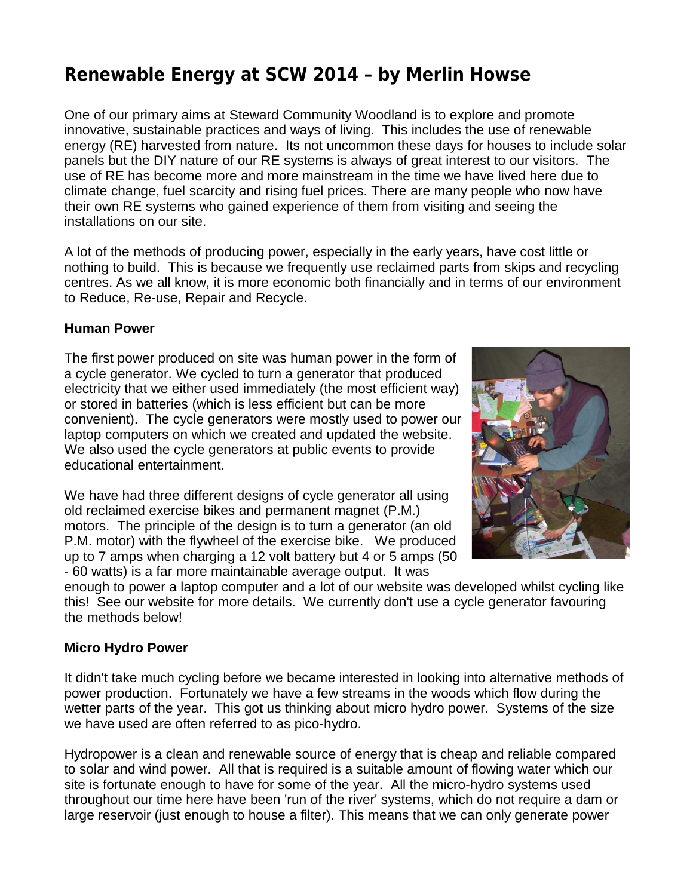# **Renewable Energy at SCW 2014 – by Merlin Howse**

One of our primary aims at Steward Community Woodland is to explore and promote innovative, sustainable practices and ways of living. This includes the use of renewable energy (RE) harvested from nature. Its not uncommon these days for houses to include solar panels but the DIY nature of our RE systems is always of great interest to our visitors. The use of RE has become more and more mainstream in the time we have lived here due to climate change, fuel scarcity and rising fuel prices. There are many people who now have their own RE systems who gained experience of them from visiting and seeing the installations on our site.

A lot of the methods of producing power, especially in the early years, have cost little or nothing to build. This is because we frequently use reclaimed parts from skips and recycling centres. As we all know, it is more economic both financially and in terms of our environment to Reduce, Re-use, Repair and Recycle.

## **Human Power**

The first power produced on site was human power in the form of a cycle generator. We cycled to turn a generator that produced electricity that we either used immediately (the most efficient way) or stored in batteries (which is less efficient but can be more convenient). The cycle generators were mostly used to power our laptop computers on which we created and updated the website. We also used the cycle generators at public events to provide educational entertainment.

We have had three different designs of cycle generator all using old reclaimed exercise bikes and permanent magnet (P.M.) motors. The principle of the design is to turn a generator (an old P.M. motor) with the flywheel of the exercise bike. We produced up to 7 amps when charging a 12 volt battery but 4 or 5 amps (50 - 60 watts) is a far more maintainable average output. It was



enough to power a laptop computer and a lot of our website was developed whilst cycling like this! See our website for more details. We currently don't use a cycle generator favouring the methods below!

## **Micro Hydro Power**

It didn't take much cycling before we became interested in looking into alternative methods of power production. Fortunately we have a few streams in the woods which flow during the wetter parts of the year. This got us thinking about micro hydro power. Systems of the size we have used are often referred to as pico-hydro.

Hydropower is a clean and renewable source of energy that is cheap and reliable compared to solar and wind power. All that is required is a suitable amount of flowing water which our site is fortunate enough to have for some of the year. All the micro-hydro systems used throughout our time here have been 'run of the river' systems, which do not require a dam or large reservoir (just enough to house a filter). This means that we can only generate power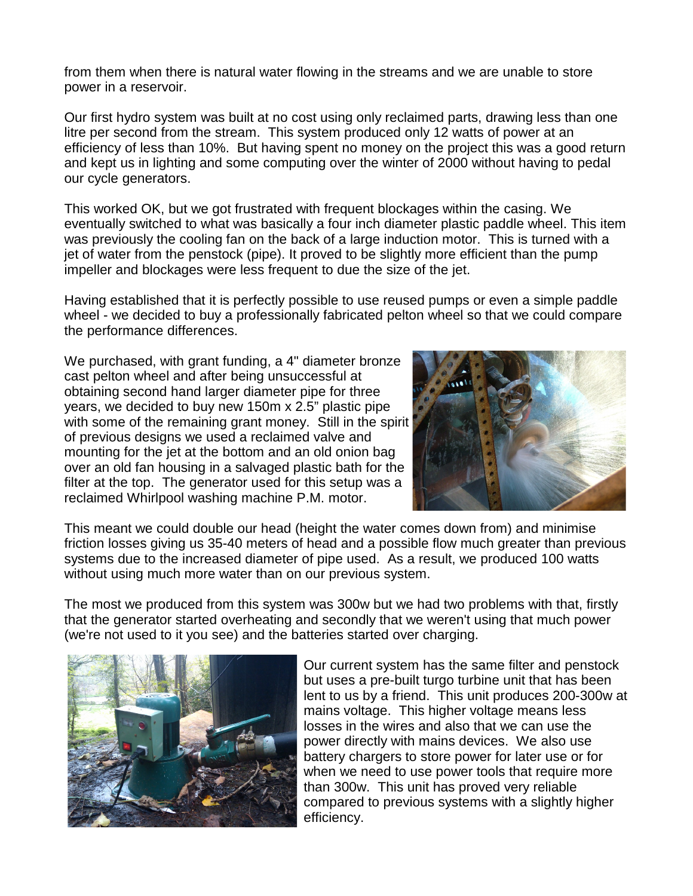from them when there is natural water flowing in the streams and we are unable to store power in a reservoir.

Our first hydro system was built at no cost using only reclaimed parts, drawing less than one litre per second from the stream. This system produced only 12 watts of power at an efficiency of less than 10%. But having spent no money on the project this was a good return and kept us in lighting and some computing over the winter of 2000 without having to pedal our cycle generators.

This worked OK, but we got frustrated with frequent blockages within the casing. We eventually switched to what was basically a four inch diameter plastic paddle wheel. This item was previously the cooling fan on the back of a large induction motor. This is turned with a jet of water from the penstock (pipe). It proved to be slightly more efficient than the pump impeller and blockages were less frequent to due the size of the jet.

Having established that it is perfectly possible to use reused pumps or even a simple paddle wheel - we decided to buy a professionally fabricated pelton wheel so that we could compare the performance differences.

We purchased, with grant funding, a 4" diameter bronze cast pelton wheel and after being unsuccessful at obtaining second hand larger diameter pipe for three years, we decided to buy new 150m x 2.5" plastic pipe with some of the remaining grant money. Still in the spirit of previous designs we used a reclaimed valve and mounting for the jet at the bottom and an old onion bag over an old fan housing in a salvaged plastic bath for the filter at the top. The generator used for this setup was a reclaimed Whirlpool washing machine P.M. motor.



This meant we could double our head (height the water comes down from) and minimise friction losses giving us 35-40 meters of head and a possible flow much greater than previous systems due to the increased diameter of pipe used. As a result, we produced 100 watts without using much more water than on our previous system.

The most we produced from this system was 300w but we had two problems with that, firstly that the generator started overheating and secondly that we weren't using that much power (we're not used to it you see) and the batteries started over charging.



Our current system has the same filter and penstock but uses a pre-built turgo turbine unit that has been lent to us by a friend. This unit produces 200-300w at mains voltage. This higher voltage means less losses in the wires and also that we can use the power directly with mains devices. We also use battery chargers to store power for later use or for when we need to use power tools that require more than 300w. This unit has proved very reliable compared to previous systems with a slightly higher efficiency.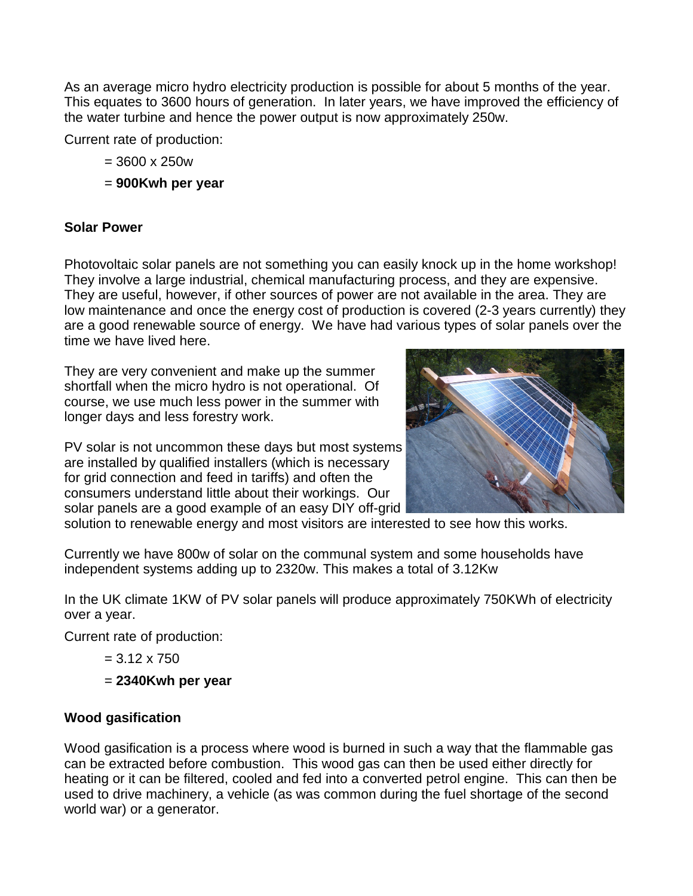As an average micro hydro electricity production is possible for about 5 months of the year. This equates to 3600 hours of generation. In later years, we have improved the efficiency of the water turbine and hence the power output is now approximately 250w.

Current rate of production:

- = 3600 x 250w
- = **900Kwh per year**

## **Solar Power**

Photovoltaic solar panels are not something you can easily knock up in the home workshop! They involve a large industrial, chemical manufacturing process, and they are expensive. They are useful, however, if other sources of power are not available in the area. They are low maintenance and once the energy cost of production is covered (2-3 years currently) they are a good renewable source of energy. We have had various types of solar panels over the time we have lived here.

They are very convenient and make up the summer shortfall when the micro hydro is not operational. Of course, we use much less power in the summer with longer days and less forestry work.

PV solar is not uncommon these days but most systems are installed by qualified installers (which is necessary for grid connection and feed in tariffs) and often the consumers understand little about their workings. Our solar panels are a good example of an easy DIY off-grid



solution to renewable energy and most visitors are interested to see how this works.

Currently we have 800w of solar on the communal system and some households have independent systems adding up to 2320w. This makes a total of 3.12Kw

In the UK climate 1KW of PV solar panels will produce approximately 750KWh of electricity over a year.

Current rate of production:

 $= 3.12 \times 750$ 

= **2340Kwh per year**

## **Wood gasification**

Wood gasification is a process where wood is burned in such a way that the flammable gas can be extracted before combustion. This wood gas can then be used either directly for heating or it can be filtered, cooled and fed into a converted petrol engine. This can then be used to drive machinery, a vehicle (as was common during the fuel shortage of the second world war) or a generator.